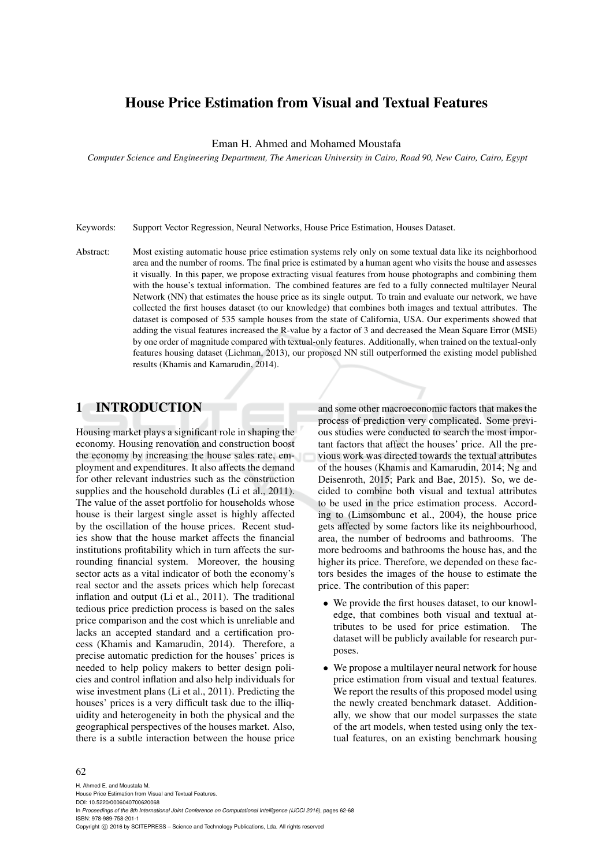# House Price Estimation from Visual and Textual Features

Eman H. Ahmed and Mohamed Moustafa

*Computer Science and Engineering Department, The American University in Cairo, Road 90, New Cairo, Cairo, Egypt*

Keywords: Support Vector Regression, Neural Networks, House Price Estimation, Houses Dataset.

Abstract: Most existing automatic house price estimation systems rely only on some textual data like its neighborhood area and the number of rooms. The final price is estimated by a human agent who visits the house and assesses it visually. In this paper, we propose extracting visual features from house photographs and combining them with the house's textual information. The combined features are fed to a fully connected multilayer Neural Network (NN) that estimates the house price as its single output. To train and evaluate our network, we have collected the first houses dataset (to our knowledge) that combines both images and textual attributes. The dataset is composed of 535 sample houses from the state of California, USA. Our experiments showed that adding the visual features increased the R-value by a factor of 3 and decreased the Mean Square Error (MSE) by one order of magnitude compared with textual-only features. Additionally, when trained on the textual-only features housing dataset (Lichman, 2013), our proposed NN still outperformed the existing model published results (Khamis and Kamarudin, 2014).

# 1 INTRODUCTION

Housing market plays a significant role in shaping the economy. Housing renovation and construction boost the economy by increasing the house sales rate, employment and expenditures. It also affects the demand for other relevant industries such as the construction supplies and the household durables (Li et al., 2011). The value of the asset portfolio for households whose house is their largest single asset is highly affected by the oscillation of the house prices. Recent studies show that the house market affects the financial institutions profitability which in turn affects the surrounding financial system. Moreover, the housing sector acts as a vital indicator of both the economy's real sector and the assets prices which help forecast inflation and output (Li et al., 2011). The traditional tedious price prediction process is based on the sales price comparison and the cost which is unreliable and lacks an accepted standard and a certification process (Khamis and Kamarudin, 2014). Therefore, a precise automatic prediction for the houses' prices is needed to help policy makers to better design policies and control inflation and also help individuals for wise investment plans (Li et al., 2011). Predicting the houses' prices is a very difficult task due to the illiquidity and heterogeneity in both the physical and the geographical perspectives of the houses market. Also, there is a subtle interaction between the house price

and some other macroeconomic factors that makes the process of prediction very complicated. Some previous studies were conducted to search the most important factors that affect the houses' price. All the previous work was directed towards the textual attributes of the houses (Khamis and Kamarudin, 2014; Ng and Deisenroth, 2015; Park and Bae, 2015). So, we decided to combine both visual and textual attributes to be used in the price estimation process. According to (Limsombunc et al., 2004), the house price gets affected by some factors like its neighbourhood, area, the number of bedrooms and bathrooms. The more bedrooms and bathrooms the house has, and the higher its price. Therefore, we depended on these factors besides the images of the house to estimate the price. The contribution of this paper:

- We provide the first houses dataset, to our knowledge, that combines both visual and textual attributes to be used for price estimation. The dataset will be publicly available for research purposes.
- We propose a multilayer neural network for house price estimation from visual and textual features. We report the results of this proposed model using the newly created benchmark dataset. Additionally, we show that our model surpasses the state of the art models, when tested using only the textual features, on an existing benchmark housing

#### 62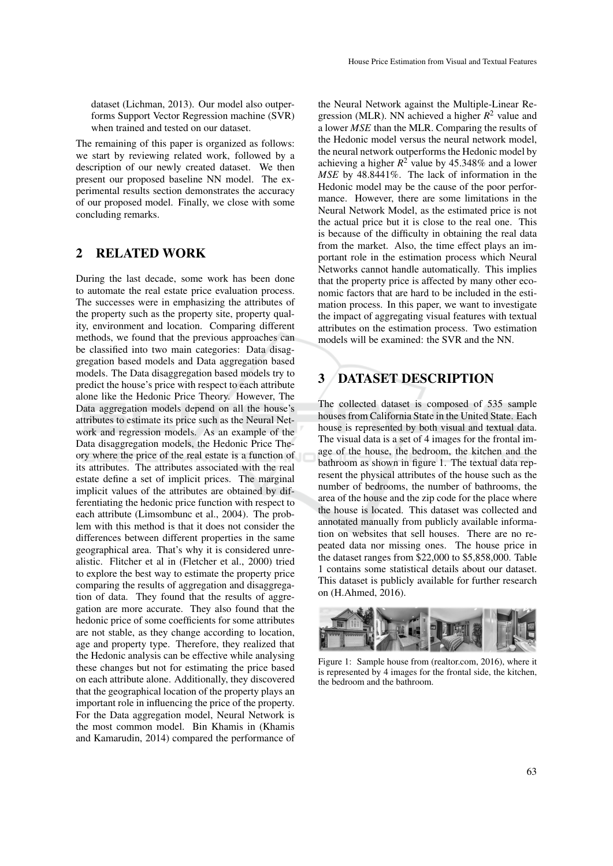dataset (Lichman, 2013). Our model also outperforms Support Vector Regression machine (SVR) when trained and tested on our dataset.

The remaining of this paper is organized as follows: we start by reviewing related work, followed by a description of our newly created dataset. We then present our proposed baseline NN model. The experimental results section demonstrates the accuracy of our proposed model. Finally, we close with some concluding remarks.

# 2 RELATED WORK

During the last decade, some work has been done to automate the real estate price evaluation process. The successes were in emphasizing the attributes of the property such as the property site, property quality, environment and location. Comparing different methods, we found that the previous approaches can be classified into two main categories: Data disaggregation based models and Data aggregation based models. The Data disaggregation based models try to predict the house's price with respect to each attribute alone like the Hedonic Price Theory. However, The Data aggregation models depend on all the house's attributes to estimate its price such as the Neural Network and regression models. As an example of the Data disaggregation models, the Hedonic Price Theory where the price of the real estate is a function of its attributes. The attributes associated with the real estate define a set of implicit prices. The marginal implicit values of the attributes are obtained by differentiating the hedonic price function with respect to each attribute (Limsombunc et al., 2004). The problem with this method is that it does not consider the differences between different properties in the same geographical area. That's why it is considered unrealistic. Flitcher et al in (Fletcher et al., 2000) tried to explore the best way to estimate the property price comparing the results of aggregation and disaggregation of data. They found that the results of aggregation are more accurate. They also found that the hedonic price of some coefficients for some attributes are not stable, as they change according to location, age and property type. Therefore, they realized that the Hedonic analysis can be effective while analysing these changes but not for estimating the price based on each attribute alone. Additionally, they discovered that the geographical location of the property plays an important role in influencing the price of the property. For the Data aggregation model, Neural Network is the most common model. Bin Khamis in (Khamis and Kamarudin, 2014) compared the performance of

the Neural Network against the Multiple-Linear Regression (MLR). NN achieved a higher *R* <sup>2</sup> value and a lower *MSE* than the MLR. Comparing the results of the Hedonic model versus the neural network model, the neural network outperforms the Hedonic model by achieving a higher  $R^2$  value by 45.348% and a lower *MSE* by 48.8441%. The lack of information in the Hedonic model may be the cause of the poor performance. However, there are some limitations in the Neural Network Model, as the estimated price is not the actual price but it is close to the real one. This is because of the difficulty in obtaining the real data from the market. Also, the time effect plays an important role in the estimation process which Neural Networks cannot handle automatically. This implies that the property price is affected by many other economic factors that are hard to be included in the estimation process. In this paper, we want to investigate the impact of aggregating visual features with textual attributes on the estimation process. Two estimation models will be examined: the SVR and the NN.

# 3 DATASET DESCRIPTION

The collected dataset is composed of 535 sample houses from California State in the United State. Each house is represented by both visual and textual data. The visual data is a set of 4 images for the frontal image of the house, the bedroom, the kitchen and the bathroom as shown in figure 1. The textual data represent the physical attributes of the house such as the number of bedrooms, the number of bathrooms, the area of the house and the zip code for the place where the house is located. This dataset was collected and annotated manually from publicly available information on websites that sell houses. There are no repeated data nor missing ones. The house price in the dataset ranges from \$22,000 to \$5,858,000. Table 1 contains some statistical details about our dataset. This dataset is publicly available for further research on (H.Ahmed, 2016).



Figure 1: Sample house from (realtor.com, 2016), where it is represented by 4 images for the frontal side, the kitchen, the bedroom and the bathroom.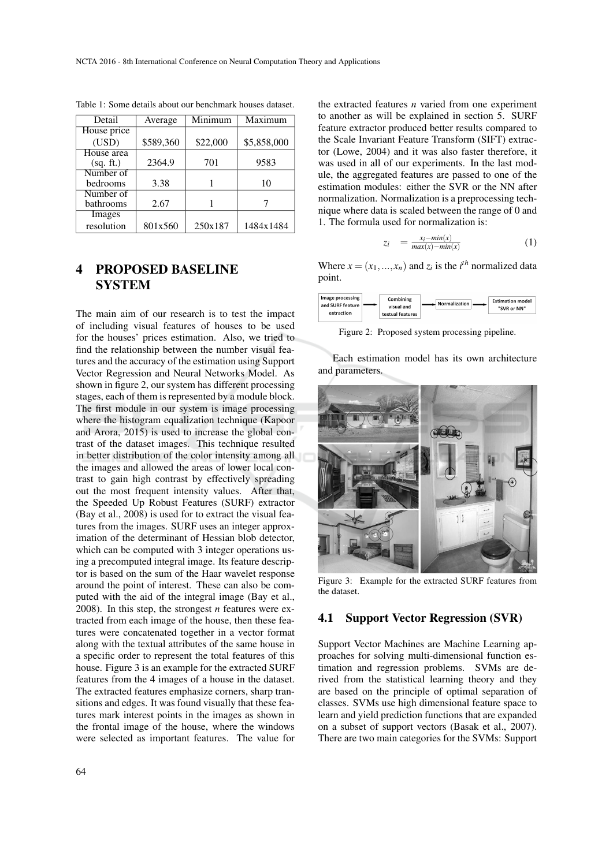| Detail      | Average   | Minimum  | Maximum     |
|-------------|-----------|----------|-------------|
| House price |           |          |             |
| (USD)       | \$589,360 | \$22,000 | \$5,858,000 |
| House area  |           |          |             |
| (sq. ft.)   | 2364.9    | 701      | 9583        |
| Number of   |           |          |             |
| bedrooms    | 3.38      |          | 10          |
| Number of   |           |          |             |
| bathrooms   | 2.67      |          |             |
| Images      |           |          |             |
| resolution  | 801x560   | 250x187  | 1484x1484   |

Table 1: Some details about our benchmark houses dataset.

# 4 PROPOSED BASELINE **SYSTEM**

The main aim of our research is to test the impact of including visual features of houses to be used for the houses' prices estimation. Also, we tried to find the relationship between the number visual features and the accuracy of the estimation using Support Vector Regression and Neural Networks Model. As shown in figure 2, our system has different processing stages, each of them is represented by a module block. The first module in our system is image processing where the histogram equalization technique (Kapoor and Arora, 2015) is used to increase the global contrast of the dataset images. This technique resulted in better distribution of the color intensity among all the images and allowed the areas of lower local contrast to gain high contrast by effectively spreading out the most frequent intensity values. After that, the Speeded Up Robust Features (SURF) extractor (Bay et al., 2008) is used for to extract the visual features from the images. SURF uses an integer approximation of the determinant of Hessian blob detector, which can be computed with 3 integer operations using a precomputed integral image. Its feature descriptor is based on the sum of the Haar wavelet response around the point of interest. These can also be computed with the aid of the integral image (Bay et al., 2008). In this step, the strongest *n* features were extracted from each image of the house, then these features were concatenated together in a vector format along with the textual attributes of the same house in a specific order to represent the total features of this house. Figure 3 is an example for the extracted SURF features from the 4 images of a house in the dataset. The extracted features emphasize corners, sharp transitions and edges. It was found visually that these features mark interest points in the images as shown in the frontal image of the house, where the windows were selected as important features. The value for

the extracted features *n* varied from one experiment to another as will be explained in section 5. SURF feature extractor produced better results compared to the Scale Invariant Feature Transform (SIFT) extractor (Lowe, 2004) and it was also faster therefore, it was used in all of our experiments. In the last module, the aggregated features are passed to one of the estimation modules: either the SVR or the NN after normalization. Normalization is a preprocessing technique where data is scaled between the range of 0 and 1. The formula used for normalization is:

$$
z_i = \frac{x_i - \min(x)}{\max(x) - \min(x)} \tag{1}
$$

Where  $x = (x_1, ..., x_n)$  and  $z_i$  is the *i*<sup>th</sup> normalized data point.

| Image processing<br>and SURF feature<br>extraction | Combining<br>visual and<br>textual features | Normalization | <b>Estimation model</b><br>"SVR or NN" |
|----------------------------------------------------|---------------------------------------------|---------------|----------------------------------------|
|                                                    |                                             |               |                                        |

Figure 2: Proposed system processing pipeline.

Each estimation model has its own architecture and parameters.



Figure 3: Example for the extracted SURF features from the dataset.

## 4.1 Support Vector Regression (SVR)

Support Vector Machines are Machine Learning approaches for solving multi-dimensional function estimation and regression problems. SVMs are derived from the statistical learning theory and they are based on the principle of optimal separation of classes. SVMs use high dimensional feature space to learn and yield prediction functions that are expanded on a subset of support vectors (Basak et al., 2007). There are two main categories for the SVMs: Support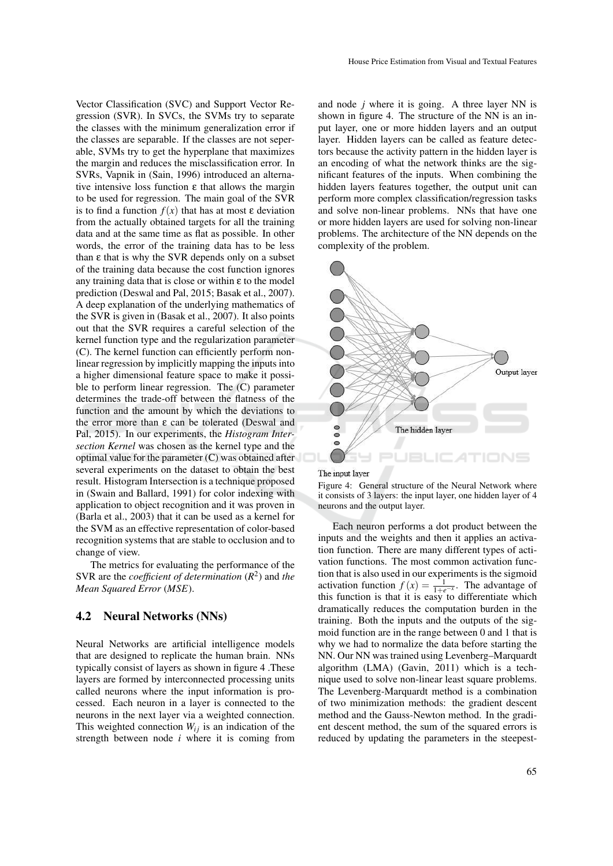Vector Classification (SVC) and Support Vector Regression (SVR). In SVCs, the SVMs try to separate the classes with the minimum generalization error if the classes are separable. If the classes are not seperable, SVMs try to get the hyperplane that maximizes the margin and reduces the misclassification error. In SVRs, Vapnik in (Sain, 1996) introduced an alternative intensive loss function  $\varepsilon$  that allows the margin to be used for regression. The main goal of the SVR is to find a function  $f(x)$  that has at most  $\varepsilon$  deviation from the actually obtained targets for all the training data and at the same time as flat as possible. In other words, the error of the training data has to be less than  $ε$  that is why the SVR depends only on a subset of the training data because the cost function ignores any training data that is close or within ε to the model prediction (Deswal and Pal, 2015; Basak et al., 2007). A deep explanation of the underlying mathematics of the SVR is given in (Basak et al., 2007). It also points out that the SVR requires a careful selection of the kernel function type and the regularization parameter (C). The kernel function can efficiently perform nonlinear regression by implicitly mapping the inputs into a higher dimensional feature space to make it possible to perform linear regression. The (C) parameter determines the trade-off between the flatness of the function and the amount by which the deviations to the error more than ε can be tolerated (Deswal and Pal, 2015). In our experiments, the *Histogram Intersection Kernel* was chosen as the kernel type and the optimal value for the parameter (C) was obtained after several experiments on the dataset to obtain the best result. Histogram Intersection is a technique proposed in (Swain and Ballard, 1991) for color indexing with application to object recognition and it was proven in (Barla et al., 2003) that it can be used as a kernel for the SVM as an effective representation of color-based recognition systems that are stable to occlusion and to change of view.

The metrics for evaluating the performance of the SVR are the *coefficient of determination* (*R* 2 ) and *the Mean Squared Error* (*MSE*).

### 4.2 Neural Networks (NNs)

Neural Networks are artificial intelligence models that are designed to replicate the human brain. NNs typically consist of layers as shown in figure 4 .These layers are formed by interconnected processing units called neurons where the input information is processed. Each neuron in a layer is connected to the neurons in the next layer via a weighted connection. This weighted connection  $W_{ij}$  is an indication of the strength between node *i* where it is coming from

and node *j* where it is going. A three layer NN is shown in figure 4. The structure of the NN is an input layer, one or more hidden layers and an output layer. Hidden layers can be called as feature detectors because the activity pattern in the hidden layer is an encoding of what the network thinks are the significant features of the inputs. When combining the hidden layers features together, the output unit can perform more complex classification/regression tasks and solve non-linear problems. NNs that have one or more hidden layers are used for solving non-linear problems. The architecture of the NN depends on the complexity of the problem.



Figure 4: General structure of the Neural Network where it consists of 3 layers: the input layer, one hidden layer of 4 neurons and the output layer.

Each neuron performs a dot product between the inputs and the weights and then it applies an activation function. There are many different types of activation functions. The most common activation function that is also used in our experiments is the sigmoid activation function  $f(x) = \frac{1}{1+e^{-x}}$ . The advantage of this function is that it is easy to differentiate which dramatically reduces the computation burden in the training. Both the inputs and the outputs of the sigmoid function are in the range between 0 and 1 that is why we had to normalize the data before starting the NN. Our NN was trained using Levenberg–Marquardt algorithm (LMA) (Gavin, 2011) which is a technique used to solve non-linear least square problems. The Levenberg-Marquardt method is a combination of two minimization methods: the gradient descent method and the Gauss-Newton method. In the gradient descent method, the sum of the squared errors is reduced by updating the parameters in the steepest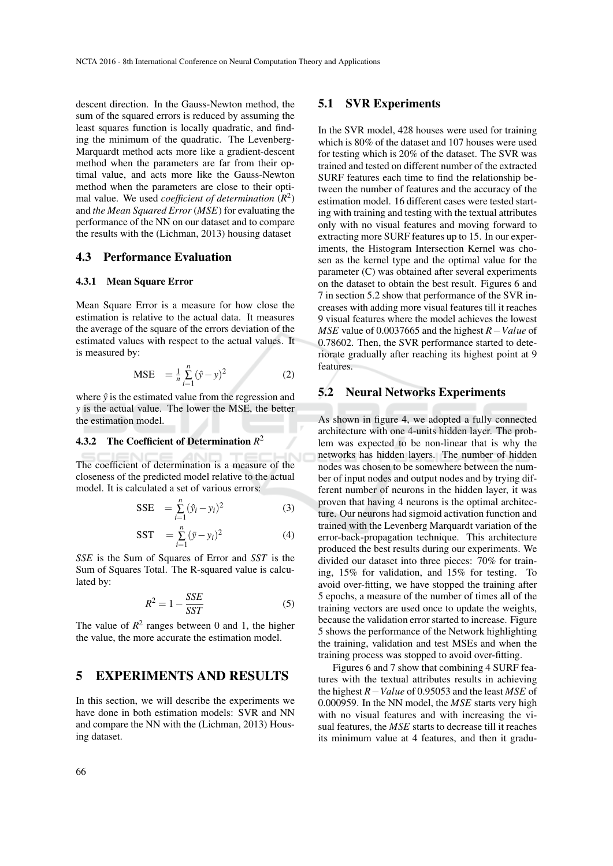descent direction. In the Gauss-Newton method, the sum of the squared errors is reduced by assuming the least squares function is locally quadratic, and finding the minimum of the quadratic. The Levenberg-Marquardt method acts more like a gradient-descent method when the parameters are far from their optimal value, and acts more like the Gauss-Newton method when the parameters are close to their optimal value. We used *coefficient of determination* (*R* 2 ) and *the Mean Squared Error* (*MSE*) for evaluating the performance of the NN on our dataset and to compare the results with the (Lichman, 2013) housing dataset

### 4.3 Performance Evaluation

#### 4.3.1 Mean Square Error

Mean Square Error is a measure for how close the estimation is relative to the actual data. It measures the average of the square of the errors deviation of the estimated values with respect to the actual values. It is measured by:

$$
\text{MSE} = \frac{1}{n} \sum_{i=1}^{n} (\hat{y} - y)^2 \tag{2}
$$

where  $\hat{y}$  is the estimated value from the regression and *y* is the actual value. The lower the MSE, the better the estimation model.

### 4.3.2 The Coefficient of Determination *R* 2

The coefficient of determination is a measure of the closeness of the predicted model relative to the actual model. It is calculated a set of various errors:

$$
SSE = \sum_{i=1}^{n} (\hat{y}_i - y_i)^2
$$
 (3)

$$
SST = \sum_{i=1}^{n} (\bar{y} - y_i)^2
$$
 (4)

*SSE* is the Sum of Squares of Error and *SST* is the Sum of Squares Total. The R-squared value is calculated by:

$$
R^2 = 1 - \frac{SSE}{SST} \tag{5}
$$

The value of  $R^2$  ranges between 0 and 1, the higher the value, the more accurate the estimation model.

# 5 EXPERIMENTS AND RESULTS

In this section, we will describe the experiments we have done in both estimation models: SVR and NN and compare the NN with the (Lichman, 2013) Housing dataset.

### 5.1 SVR Experiments

In the SVR model, 428 houses were used for training which is 80% of the dataset and 107 houses were used for testing which is 20% of the dataset. The SVR was trained and tested on different number of the extracted SURF features each time to find the relationship between the number of features and the accuracy of the estimation model. 16 different cases were tested starting with training and testing with the textual attributes only with no visual features and moving forward to extracting more SURF features up to 15. In our experiments, the Histogram Intersection Kernel was chosen as the kernel type and the optimal value for the parameter (C) was obtained after several experiments on the dataset to obtain the best result. Figures 6 and 7 in section 5.2 show that performance of the SVR increases with adding more visual features till it reaches 9 visual features where the model achieves the lowest *MSE* value of 0.0037665 and the highest *R*−*Value* of 0.78602. Then, the SVR performance started to deteriorate gradually after reaching its highest point at 9 features.

### 5.2 Neural Networks Experiments

As shown in figure 4, we adopted a fully connected architecture with one 4-units hidden layer. The problem was expected to be non-linear that is why the networks has hidden layers. The number of hidden nodes was chosen to be somewhere between the number of input nodes and output nodes and by trying different number of neurons in the hidden layer, it was proven that having 4 neurons is the optimal architecture. Our neurons had sigmoid activation function and trained with the Levenberg Marquardt variation of the error-back-propagation technique. This architecture produced the best results during our experiments. We divided our dataset into three pieces: 70% for training, 15% for validation, and 15% for testing. To avoid over-fitting, we have stopped the training after 5 epochs, a measure of the number of times all of the training vectors are used once to update the weights, because the validation error started to increase. Figure 5 shows the performance of the Network highlighting the training, validation and test MSEs and when the training process was stopped to avoid over-fitting.

Figures 6 and 7 show that combining 4 SURF features with the textual attributes results in achieving the highest *R*−*Value* of 0.95053 and the least *MSE* of 0.000959. In the NN model, the *MSE* starts very high with no visual features and with increasing the visual features, the *MSE* starts to decrease till it reaches its minimum value at 4 features, and then it gradu-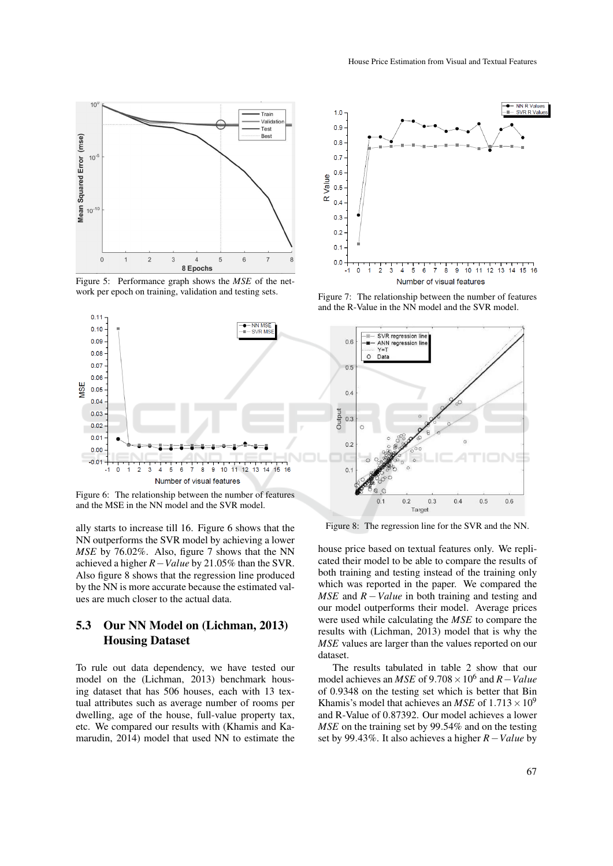

Figure 5: Performance graph shows the *MSE* of the network per epoch on training, validation and testing sets.



Figure 6: The relationship between the number of features and the MSE in the NN model and the SVR model.

ally starts to increase till 16. Figure 6 shows that the NN outperforms the SVR model by achieving a lower *MSE* by 76.02%. Also, figure 7 shows that the NN achieved a higher *R*−*Value* by 21.05% than the SVR. Also figure 8 shows that the regression line produced by the NN is more accurate because the estimated values are much closer to the actual data.

# 5.3 Our NN Model on (Lichman, 2013) Housing Dataset

To rule out data dependency, we have tested our model on the (Lichman, 2013) benchmark housing dataset that has 506 houses, each with 13 textual attributes such as average number of rooms per dwelling, age of the house, full-value property tax, etc. We compared our results with (Khamis and Kamarudin, 2014) model that used NN to estimate the



Figure 7: The relationship between the number of features and the R-Value in the NN model and the SVR model.



Figure 8: The regression line for the SVR and the NN.

house price based on textual features only. We replicated their model to be able to compare the results of both training and testing instead of the training only which was reported in the paper. We compared the *MSE* and  $R - Value$  in both training and testing and our model outperforms their model. Average prices were used while calculating the *MSE* to compare the results with (Lichman, 2013) model that is why the *MSE* values are larger than the values reported on our dataset.

The results tabulated in table 2 show that our model achieves an *MSE* of  $9.708 \times 10^6$  and *R*−*Value* of 0.9348 on the testing set which is better that Bin Khamis's model that achieves an *MSE* of  $1.713 \times 10^9$ and R-Value of 0.87392. Our model achieves a lower *MSE* on the training set by 99.54% and on the testing set by 99.43%. It also achieves a higher *R*−*Value* by